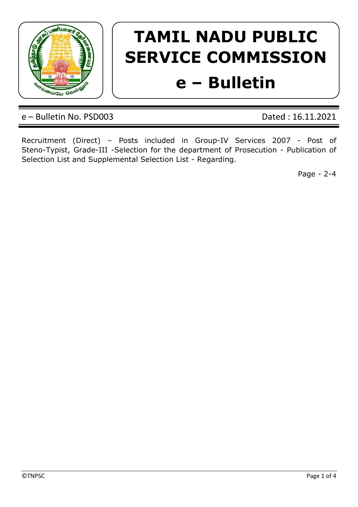

# **TAMIL NADU PUBLIC SERVICE COMMISSION e – Bulletin**

e – Bulletin No. PSD003 Dated : 16.11.2021

Recruitment (Direct) – Posts included in Group-IV Services 2007 - Post of Steno-Typist, Grade-III -Selection for the department of Prosecution - Publication of Selection List and Supplemental Selection List - Regarding.

Page - 2-4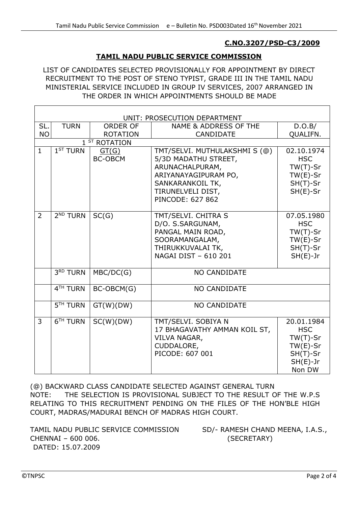#### **C.NO.3207/PSD-C3/2009**

#### **TAMIL NADU PUBLIC SERVICE COMMISSION**

LIST OF CANDIDATES SELECTED PROVISIONALLY FOR APPOINTMENT BY DIRECT RECRUITMENT TO THE POST OF STENO TYPIST, GRADE III IN THE TAMIL NADU MINISTERIAL SERVICE INCLUDED IN GROUP IV SERVICES, 2007 ARRANGED IN THE ORDER IN WHICH APPOINTMENTS SHOULD BE MADE

| UNIT: PROSECUTION DEPARTMENT |                                 |                         |                                                                                                                             |                                                                                             |  |  |
|------------------------------|---------------------------------|-------------------------|-----------------------------------------------------------------------------------------------------------------------------|---------------------------------------------------------------------------------------------|--|--|
| SL.                          | <b>TURN</b>                     | <b>ORDER OF</b>         | <b>NAME &amp; ADDRESS OF THE</b>                                                                                            | D.O.B/                                                                                      |  |  |
| <b>NO</b>                    |                                 | <b>ROTATION</b>         | <b>CANDIDATE</b>                                                                                                            | QUALIFN.                                                                                    |  |  |
| $1ST$ ROTATION               |                                 |                         |                                                                                                                             |                                                                                             |  |  |
| $\mathbf{1}$                 | 1 <sup>ST</sup> TURN            | GT(G)<br><b>BC-OBCM</b> | TMT/SELVI. MUTHULAKSHMI S (@)<br>5/3D MADATHU STREET,<br>ARUNACHALPURAM,<br>ARIYANAYAGIPURAM PO,                            | 02.10.1974<br><b>HSC</b><br>$TW(T)-Sr$<br>$TW(E)-Sr$                                        |  |  |
|                              |                                 |                         | SANKARANKOIL TK,<br>TIRUNELVELI DIST,<br>PINCODE: 627 862                                                                   | $SH(T)$ -Sr<br>$SH(E)-Sr$                                                                   |  |  |
| 2                            | 2 <sup>ND</sup> TURN            | SC(G)                   | TMT/SELVI. CHITRA S<br>D/O. S.SARGUNAM,<br>PANGAL MAIN ROAD,<br>SOORAMANGALAM,<br>THIRUKKUVALAI TK,<br>NAGAI DIST - 610 201 | 07.05.1980<br><b>HSC</b><br>$TW(T)-Sr$<br>$TW(E)-Sr$<br>$SH(T)$ -Sr<br>$SH(E)-Jr$           |  |  |
|                              | $\overline{3}^{\text{RD}}$ TURN | MBC/DC(G)               | <b>NO CANDIDATE</b>                                                                                                         |                                                                                             |  |  |
|                              | 4 <sup>TH</sup> TURN            | BC-OBCM(G)              | <b>NO CANDIDATE</b>                                                                                                         |                                                                                             |  |  |
|                              | 5 <sup>TH</sup> TURN            | GT(W)(DW)               | <b>NO CANDIDATE</b>                                                                                                         |                                                                                             |  |  |
| $\overline{3}$               | 6 <sup>TH</sup> TURN            | SC(W)(DW)               | TMT/SELVI. SOBIYA N<br>17 BHAGAVATHY AMMAN KOIL ST,<br>VILVA NAGAR,<br>CUDDALORE,<br>PICODE: 607 001                        | 20.01.1984<br><b>HSC</b><br>$TW(T)-Sr$<br>$TW(E)-Sr$<br>$SH(T)$ -Sr<br>$SH(E)-Jr$<br>Non DW |  |  |

(@) BACKWARD CLASS CANDIDATE SELECTED AGAINST GENERAL TURN NOTE: THE SELECTION IS PROVISIONAL SUBJECT TO THE RESULT OF THE W.P.S RELATING TO THIS RECRUITMENT PENDING ON THE FILES OF THE HON'BLE HIGH COURT, MADRAS/MADURAI BENCH OF MADRAS HIGH COURT.

TAMIL NADU PUBLIC SERVICE COMMISSION SD/- RAMESH CHAND MEENA, I.A.S., CHENNAI – 600 006. (SECRETARY) DATED: 15.07.2009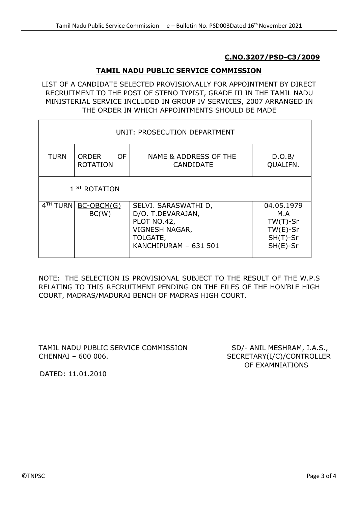#### **C.NO.3207/PSD-C3/2009**

## **TAMIL NADU PUBLIC SERVICE COMMISSION**

LIST OF A CANDIDATE SELECTED PROVISIONALLY FOR APPOINTMENT BY DIRECT RECRUITMENT TO THE POST OF STENO TYPIST, GRADE III IN THE TAMIL NADU MINISTERIAL SERVICE INCLUDED IN GROUP IV SERVICES, 2007 ARRANGED IN THE ORDER IN WHICH APPOINTMENTS SHOULD BE MADE

| UNIT: PROSECUTION DEPARTMENT |                                        |                                                                                                                 |                                                                              |  |  |  |  |
|------------------------------|----------------------------------------|-----------------------------------------------------------------------------------------------------------------|------------------------------------------------------------------------------|--|--|--|--|
| <b>TURN</b>                  | <b>ORDER</b><br>OF.<br><b>ROTATION</b> | NAME & ADDRESS OF THE<br><b>CANDIDATE</b>                                                                       | D.O.B/<br>QUALIFN.                                                           |  |  |  |  |
| 1 <sup>ST</sup> ROTATION     |                                        |                                                                                                                 |                                                                              |  |  |  |  |
| 4 <sup>TH</sup> TURN         | $BC-OBCM(G)$<br>BC(W)                  | SELVI. SARASWATHI D,<br>D/O. T.DEVARAJAN,<br>PLOT NO.42,<br>VIGNESH NAGAR,<br>TOLGATE,<br>KANCHIPURAM - 631 501 | 04.05.1979<br>M.A<br>$TW(T)$ -Sr<br>$TW(E)-Sr$<br>$SH(T)$ -Sr<br>$SH(E)$ -Sr |  |  |  |  |

NOTE: THE SELECTION IS PROVISIONAL SUBJECT TO THE RESULT OF THE W.P.S RELATING TO THIS RECRUITMENT PENDING ON THE FILES OF THE HON'BLE HIGH COURT, MADRAS/MADURAI BENCH OF MADRAS HIGH COURT.

TAMIL NADU PUBLIC SERVICE COMMISSION SD/- ANIL MESHRAM, I.A.S., CHENNAI – 600 006. SECRETARY(I/C)/CONTROLLER

OF EXAMNIATIONS

DATED: 11.01.2010

 $\mathsf{r}$